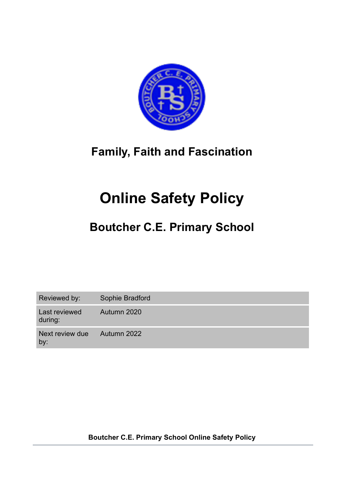

## **Family, Faith and Fascination**

# **Online Safety Policy**

## **Boutcher C.E. Primary School**

| Reviewed by:             | Sophie Bradford |
|--------------------------|-----------------|
| Last reviewed<br>during: | Autumn 2020     |
| Next review due<br>by:   | Autumn 2022     |

**Boutcher C.E. Primary School Online Safety Policy**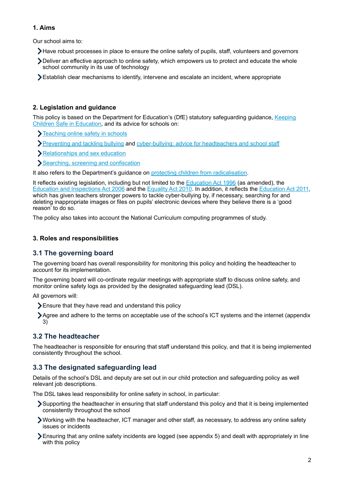## **1. Aims**

Our school aims to:

- Have robust processes in place to ensure the online safety of pupils, staff, volunteers and governors
- Deliver an effective approach to online safety, which empowers us to protect and educate the whole school community in its use of technology
- Establish clear mechanisms to identify, intervene and escalate an incident, where appropriate

## **2. Legislation and guidance**

This policy is based on the Department for Education's (DfE) statutory safeguarding guidance, [Keeping](https://www.gov.uk/government/publications/keeping-children-safe-in-education--2)  [Children Safe in Education](https://www.gov.uk/government/publications/keeping-children-safe-in-education--2), and its advice for schools on:

- **Teaching online safety in schools**
- [Preventing and tackling bullying](https://www.gov.uk/government/publications/preventing-and-tackling-bullying) and [cyber-bullying: advice for headteachers and school staff](https://www.gov.uk/government/publications/preventing-and-tackling-bullying)
- [Relationships and sex education](https://www.gov.uk/government/publications/relationships-education-relationships-and-sex-education-rse-and-health-education)
- [Searching, screening and confiscation](https://www.gov.uk/government/publications/searching-screening-and-confiscation)

It also refers to the Department's guidance on [protecting children from radicalisation](https://www.gov.uk/government/publications/protecting-children-from-radicalisation-the-prevent-duty).

It reflects existing legislation, including but not limited to the [Education Act 1996](https://www.legislation.gov.uk/ukpga/1996/56/contents) (as amended), the [Education and Inspections Act 2006](https://www.legislation.gov.uk/ukpga/2006/40/contents) and the [Equality Act 2010.](https://www.legislation.gov.uk/ukpga/2010/15/contents) In addition, it reflects the [Education Act 2011](http://www.legislation.gov.uk/ukpga/2011/21/contents/enacted), which has given teachers stronger powers to tackle cyber-bullying by, if necessary, searching for and deleting inappropriate images or files on pupils' electronic devices where they believe there is a 'good reason' to do so.

The policy also takes into account the National Curriculum computing programmes of study.

## **3. Roles and responsibilities**

## **3.1 The governing board**

The governing board has overall responsibility for monitoring this policy and holding the headteacher to account for its implementation.

The governing board will co-ordinate regular meetings with appropriate staff to discuss online safety, and monitor online safety logs as provided by the designated safeguarding lead (DSL).

All governors will:

Ensure that they have read and understand this policy

Agree and adhere to the terms on acceptable use of the school's ICT systems and the internet (appendix 3)

## **3.2 The headteacher**

The headteacher is responsible for ensuring that staff understand this policy, and that it is being implemented consistently throughout the school.

## **3.3 The designated safeguarding lead**

Details of the school's DSL and deputy are set out in our child protection and safeguarding policy as well relevant job descriptions.

The DSL takes lead responsibility for online safety in school, in particular:

- Supporting the headteacher in ensuring that staff understand this policy and that it is being implemented consistently throughout the school
- Working with the headteacher, ICT manager and other staff, as necessary, to address any online safety issues or incidents
- $\blacktriangleright$  Ensuring that any online safety incidents are logged (see appendix 5) and dealt with appropriately in line with this policy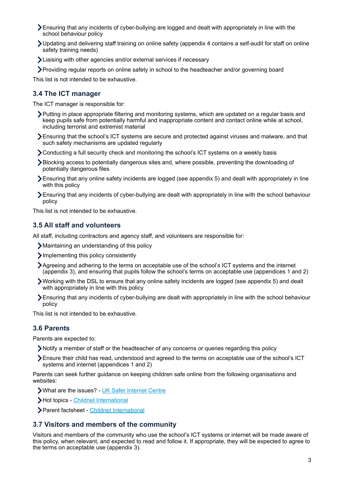- Ensuring that any incidents of cyber-bullying are logged and dealt with appropriately in line with the school behaviour policy
- Updating and delivering staff training on online safety (appendix 4 contains a self-audit for staff on online safety training needs)
- Liaising with other agencies and/or external services if necessary
- Providing regular reports on online safety in school to the headteacher and/or governing board

This list is not intended to be exhaustive.

## **3.4 The ICT manager**

The ICT manager is responsible for:

- Putting in place appropriate filtering and monitoring systems, which are updated on a regular basis and keep pupils safe from potentially harmful and inappropriate content and contact online while at school, including terrorist and extremist material
- Ensuring that the school's ICT systems are secure and protected against viruses and malware, and that such safety mechanisms are updated regularly
- Conducting a full security check and monitoring the school's ICT systems on a weekly basis
- Blocking access to potentially dangerous sites and, where possible, preventing the downloading of potentially dangerous files
- Ensuring that any online safety incidents are logged (see appendix 5) and dealt with appropriately in line with this policy
- Ensuring that any incidents of cyber-bullying are dealt with appropriately in line with the school behaviour policy

This list is not intended to be exhaustive.

## **3.5 All staff and volunteers**

All staff, including contractors and agency staff, and volunteers are responsible for:

- Maintaining an understanding of this policy
- Implementing this policy consistently
- Agreeing and adhering to the terms on acceptable use of the school's ICT systems and the internet (appendix 3), and ensuring that pupils follow the school's terms on acceptable use (appendices 1 and 2)
- Working with the DSL to ensure that any online safety incidents are logged (see appendix 5) and dealt with appropriately in line with this policy
- Ensuring that any incidents of cyber-bullying are dealt with appropriately in line with the school behaviour policy

This list is not intended to be exhaustive.

## **3.6 Parents**

Parents are expected to:

- Notify a member of staff or the headteacher of any concerns or queries regarding this policy
- Ensure their child has read, understood and agreed to the terms on acceptable use of the school's ICT systems and internet (appendices 1 and 2)

Parents can seek further guidance on keeping children safe online from the following organisations and websites:

What are the issues? - [UK Safer Internet Centre](https://www.saferinternet.org.uk/advice-centre/parents-and-carers/what-are-issues)

Hot topics - [Childnet International](http://www.childnet.com/parents-and-carers/hot-topics)

Parent factsheet - [Childnet International](https://www.childnet.com/resources/parents-and-carers-resource-sheet)

## **3.7 Visitors and members of the community**

Visitors and members of the community who use the school's ICT systems or internet will be made aware of this policy, when relevant, and expected to read and follow it. If appropriate, they will be expected to agree to the terms on acceptable use (appendix 3).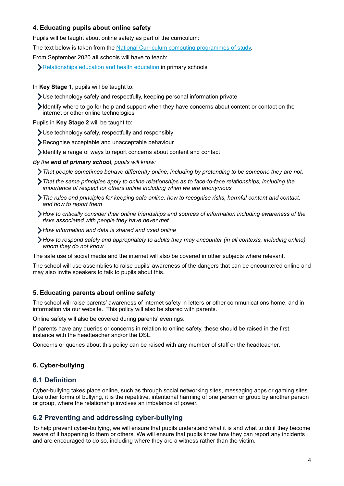## **4. Educating pupils about online safety**

Pupils will be taught about online safety as part of the curriculum:

The text below is taken from the [National Curriculum computing programmes of study.](https://www.gov.uk/government/publications/national-curriculum-in-england-computing-programmes-of-study/national-curriculum-in-england-computing-programmes-of-study)

From September 2020 **all** schools will have to teach:

**[Relationships education and health education](https://schoolleaders.thekeysupport.com/uid/8b76f587-7bf6-4994-abf0-43850c6e8d73/) in primary schools** 

#### In **Key Stage 1**, pupils will be taught to:

- Use technology safely and respectfully, keeping personal information private
- $\blacktriangleright$  Identify where to go for help and support when they have concerns about content or contact on the internet or other online technologies

Pupils in **Key Stage 2** will be taught to:

- Use technology safely, respectfully and responsibly
- Recognise acceptable and unacceptable behaviour
- Identify a range of ways to report concerns about content and contact

*By the end of primary school, pupils will know:* 

- *That people sometimes behave differently online, including by pretending to be someone they are not.*
- *That the same principles apply to online relationships as to face-to-face relationships, including the importance of respect for others online including when we are anonymous*
- *The rules and principles for keeping safe online, how to recognise risks, harmful content and contact, and how to report them*
- *How to critically consider their online friendships and sources of information including awareness of the risks associated with people they have never met*
- *How information and data is shared and used online*
- *How to respond safely and appropriately to adults they may encounter (in all contexts, including online) whom they do not know*

The safe use of social media and the internet will also be covered in other subjects where relevant.

The school will use assemblies to raise pupils' awareness of the dangers that can be encountered online and may also invite speakers to talk to pupils about this.

## **5. Educating parents about online safety**

The school will raise parents' awareness of internet safety in letters or other communications home, and in information via our website. This policy will also be shared with parents.

Online safety will also be covered during parents' evenings.

If parents have any queries or concerns in relation to online safety, these should be raised in the first instance with the headteacher and/or the DSL.

Concerns or queries about this policy can be raised with any member of staff or the headteacher.

## **6. Cyber-bullying**

## **6.1 Definition**

Cyber-bullying takes place online, such as through social networking sites, messaging apps or gaming sites. Like other forms of bullying, it is the repetitive, intentional harming of one person or group by another person or group, where the relationship involves an imbalance of power.

## **6.2 Preventing and addressing cyber-bullying**

To help prevent cyber-bullying, we will ensure that pupils understand what it is and what to do if they become aware of it happening to them or others. We will ensure that pupils know how they can report any incidents and are encouraged to do so, including where they are a witness rather than the victim.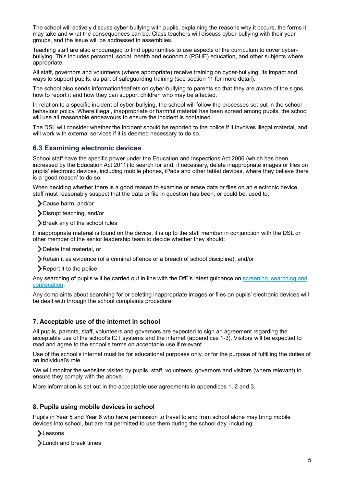The school will actively discuss cyber-bullying with pupils, explaining the reasons why it occurs, the forms it may take and what the consequences can be. Class teachers will discuss cyber-bullying with their year groups, and the issue will be addressed in assemblies.

Teaching staff are also encouraged to find opportunities to use aspects of the curriculum to cover cyberbullying. This includes personal, social, health and economic (PSHE) education, and other subjects where appropriate.

All staff, governors and volunteers (where appropriate) receive training on cyber-bullying, its impact and ways to support pupils, as part of safeguarding training (see section 11 for more detail).

The school also sends information/leaflets on cyber-bullying to parents so that they are aware of the signs, how to report it and how they can support children who may be affected.

In relation to a specific incident of cyber-bullying, the school will follow the processes set out in the school behaviour policy. Where illegal, inappropriate or harmful material has been spread among pupils, the school will use all reasonable endeavours to ensure the incident is contained.

The DSL will consider whether the incident should be reported to the police if it involves illegal material, and will work with external services if it is deemed necessary to do so.

## **6.3 Examining electronic devices**

School staff have the specific power under the Education and Inspections Act 2006 (which has been increased by the Education Act 2011) to search for and, if necessary, delete inappropriate images or files on pupils' electronic devices, including mobile phones, iPads and other tablet devices, where they believe there is a 'good reason' to do so.

When deciding whether there is a good reason to examine or erase data or files on an electronic device, staff must reasonably suspect that the data or file in question has been, or could be, used to:

Cause harm, and/or

Disrupt teaching, and/or

Break any of the school rules

If inappropriate material is found on the device, it is up to the staff member in conjunction with the DSL or other member of the senior leadership team to decide whether they should:

Delete that material, or

Retain it as evidence (of a criminal offence or a breach of school discipline), and/or

Report it to the police

Any searching of pupils will be carried out in line with the DfE's latest guidance on [screening, searching and](https://www.gov.uk/government/publications/searching-screening-and-confiscation)  [confiscation.](https://www.gov.uk/government/publications/searching-screening-and-confiscation)

Any complaints about searching for or deleting inappropriate images or files on pupils' electronic devices will be dealt with through the school complaints procedure.

#### **7. Acceptable use of the internet in school**

All pupils, parents, staff, volunteers and governors are expected to sign an agreement regarding the acceptable use of the school's ICT systems and the internet (appendices 1-3). Visitors will be expected to read and agree to the school's terms on acceptable use if relevant.

Use of the school's internet must be for educational purposes only, or for the purpose of fulfilling the duties of an individual's role.

We will monitor the websites visited by pupils, staff, volunteers, governors and visitors (where relevant) to ensure they comply with the above.

More information is set out in the acceptable use agreements in appendices 1, 2 and 3.

#### **8. Pupils using mobile devices in school**

Pupils in Year 5 and Year 6 who have permission to travel to and from school alone may bring mobile devices into school, but are not permitted to use them during the school day, including:

- **>Lessons**
- >Lunch and break times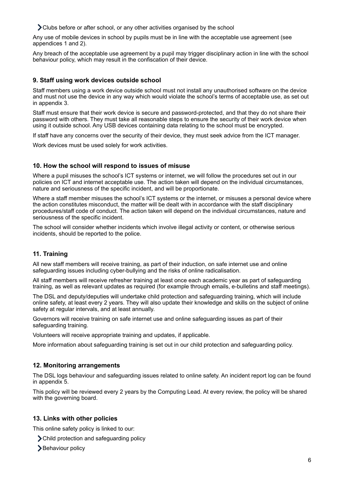Clubs before or after school, or any other activities organised by the school

Any use of mobile devices in school by pupils must be in line with the acceptable use agreement (see appendices 1 and 2).

Any breach of the acceptable use agreement by a pupil may trigger disciplinary action in line with the school behaviour policy, which may result in the confiscation of their device.

## **9. Staff using work devices outside school**

Staff members using a work device outside school must not install any unauthorised software on the device and must not use the device in any way which would violate the school's terms of acceptable use, as set out in appendix 3.

Staff must ensure that their work device is secure and password-protected, and that they do not share their password with others. They must take all reasonable steps to ensure the security of their work device when using it outside school. Any USB devices containing data relating to the school must be encrypted.

If staff have any concerns over the security of their device, they must seek advice from the ICT manager.

Work devices must be used solely for work activities.

## **10. How the school will respond to issues of misuse**

Where a pupil misuses the school's ICT systems or internet, we will follow the procedures set out in our policies on ICT and internet acceptable use. The action taken will depend on the individual circumstances, nature and seriousness of the specific incident, and will be proportionate.

Where a staff member misuses the school's ICT systems or the internet, or misuses a personal device where the action constitutes misconduct, the matter will be dealt with in accordance with the staff disciplinary procedures/staff code of conduct. The action taken will depend on the individual circumstances, nature and seriousness of the specific incident.

The school will consider whether incidents which involve illegal activity or content, or otherwise serious incidents, should be reported to the police.

## **11. Training**

All new staff members will receive training, as part of their induction, on safe internet use and online safeguarding issues including cyber-bullying and the risks of online radicalisation.

All staff members will receive refresher training at least once each academic year as part of safeguarding training, as well as relevant updates as required (for example through emails, e-bulletins and staff meetings).

The DSL and deputy/deputies will undertake child protection and safeguarding training, which will include online safety, at least every 2 years. They will also update their knowledge and skills on the subject of online safety at regular intervals, and at least annually.

Governors will receive training on safe internet use and online safeguarding issues as part of their safeguarding training.

Volunteers will receive appropriate training and updates, if applicable.

More information about safeguarding training is set out in our child protection and safeguarding policy.

## **12. Monitoring arrangements**

The DSL logs behaviour and safeguarding issues related to online safety. An incident report log can be found in appendix 5.

This policy will be reviewed every 2 years by the Computing Lead. At every review, the policy will be shared with the governing board.

## **13. Links with other policies**

This online safety policy is linked to our:

- Child protection and safeguarding policy
- **>**Behaviour policy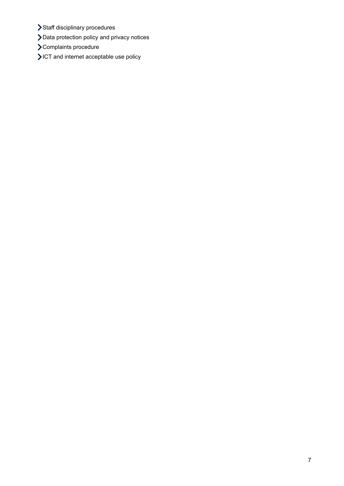- > Staff disciplinary procedures
- Data protection policy and privacy notices
- Complaints procedure
- ICT and internet acceptable use policy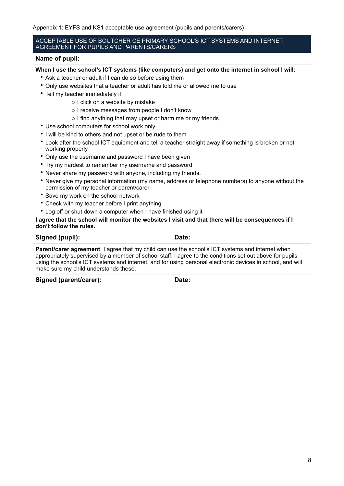Appendix 1: EYFS and KS1 acceptable use agreement (pupils and parents/carers)

#### ACCEPTABLE USE OF BOUTCHER CE PRIMARY SCHOOL'S ICT SYSTEMS AND INTERNET: AGREEMENT FOR PUPILS AND PARENTS/CARERS

#### **Name of pupil:**

**When I use the school's ICT systems (like computers) and get onto the internet in school I will:** 

- Ask a teacher or adult if I can do so before using them
- Only use websites that a teacher or adult has told me or allowed me to use
- Tell my teacher immediately if:
	- o I click on a website by mistake
	- o I receive messages from people I don't know
	- o I find anything that may upset or harm me or my friends
- Use school computers for school work only
- I will be kind to others and not upset or be rude to them
- Look after the school ICT equipment and tell a teacher straight away if something is broken or not working properly
- Only use the username and password I have been given
- Try my hardest to remember my username and password
- Never share my password with anyone, including my friends.
- Never give my personal information (my name, address or telephone numbers) to anyone without the permission of my teacher or parent/carer
- Save my work on the school network
- Check with my teacher before I print anything
- Log off or shut down a computer when I have finished using it

#### **I agree that the school will monitor the websites I visit and that there will be consequences if I don't follow the rules.**

| Signed (pupil):                                                                                                                                                                                                                                                                                                                                                            | Date: |
|----------------------------------------------------------------------------------------------------------------------------------------------------------------------------------------------------------------------------------------------------------------------------------------------------------------------------------------------------------------------------|-------|
| <b>Parent/carer agreement:</b> I agree that my child can use the school's ICT systems and internet when<br>appropriately supervised by a member of school staff. I agree to the conditions set out above for pupils<br>using the school's ICT systems and internet, and for using personal electronic devices in school, and will<br>make sure my child understands these. |       |

| Signed (parent/carer): | Date: |
|------------------------|-------|
|------------------------|-------|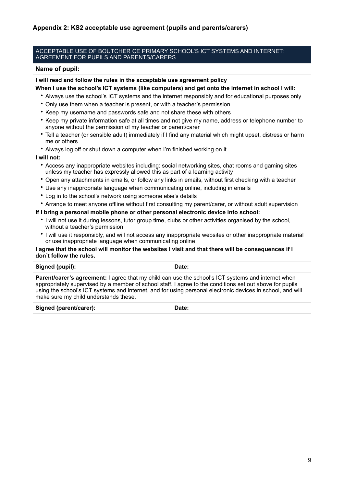#### ACCEPTABLE USE OF BOUTCHER CE PRIMARY SCHOOL'S ICT SYSTEMS AND INTERNET: AGREEMENT FOR PUPILS AND PARENTS/CARERS

#### **Name of pupil:**

**I will read and follow the rules in the acceptable use agreement policy** 

- **When I use the school's ICT systems (like computers) and get onto the internet in school I will:** 
	- Always use the school's ICT systems and the internet responsibly and for educational purposes only
	- Only use them when a teacher is present, or with a teacher's permission
	- Keep my username and passwords safe and not share these with others
	- Keep my private information safe at all times and not give my name, address or telephone number to anyone without the permission of my teacher or parent/carer
	- Tell a teacher (or sensible adult) immediately if I find any material which might upset, distress or harm me or others
	- Always log off or shut down a computer when I'm finished working on it

#### **I will not:**

- Access any inappropriate websites including: social networking sites, chat rooms and gaming sites unless my teacher has expressly allowed this as part of a learning activity
- Open any attachments in emails, or follow any links in emails, without first checking with a teacher
- Use any inappropriate language when communicating online, including in emails
- Log in to the school's network using someone else's details
- Arrange to meet anyone offline without first consulting my parent/carer, or without adult supervision

#### **If I bring a personal mobile phone or other personal electronic device into school:**

- I will not use it during lessons, tutor group time, clubs or other activities organised by the school, without a teacher's permission
- I will use it responsibly, and will not access any inappropriate websites or other inappropriate material or use inappropriate language when communicating online

#### **I agree that the school will monitor the websites I visit and that there will be consequences if I don't follow the rules.**

| Signed (pupil):                                                                                                                                                                                                                                                                                                                                                              | Date: |
|------------------------------------------------------------------------------------------------------------------------------------------------------------------------------------------------------------------------------------------------------------------------------------------------------------------------------------------------------------------------------|-------|
| <b>Parent/carer's agreement:</b> I agree that my child can use the school's ICT systems and internet when<br>appropriately supervised by a member of school staff. I agree to the conditions set out above for pupils<br>using the school's ICT systems and internet, and for using personal electronic devices in school, and will<br>make sure my child understands these. |       |

| Signed (parent/carer): | Date: |
|------------------------|-------|
|------------------------|-------|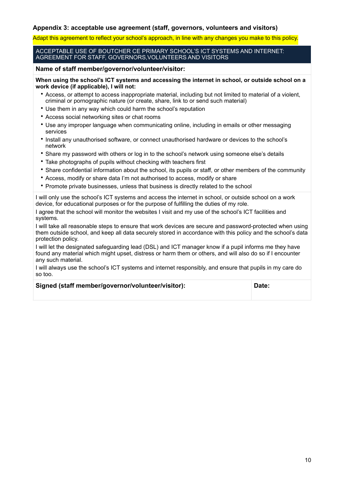#### **Appendix 3: acceptable use agreement (staff, governors, volunteers and visitors)**

Adapt this agreement to reflect your school's approach, in line with any changes you make to this policy.

ACCEPTABLE USE OF BOUTCHER CE PRIMARY SCHOOL'S ICT SYSTEMS AND INTERNET: AGREEMENT FOR STAFF, GOVERNORS,VOLUNTEERS AND VISITORS

#### **Name of staff member/governor/volunteer/visitor:**

**When using the school's ICT systems and accessing the internet in school, or outside school on a work device (if applicable), I will not:** 

- Access, or attempt to access inappropriate material, including but not limited to material of a violent, criminal or pornographic nature (or create, share, link to or send such material)
- Use them in any way which could harm the school's reputation
- Access social networking sites or chat rooms
- Use any improper language when communicating online, including in emails or other messaging services
- Install any unauthorised software, or connect unauthorised hardware or devices to the school's network
- Share my password with others or log in to the school's network using someone else's details
- Take photographs of pupils without checking with teachers first
- Share confidential information about the school, its pupils or staff, or other members of the community
- Access, modify or share data I'm not authorised to access, modify or share
- Promote private businesses, unless that business is directly related to the school

I will only use the school's ICT systems and access the internet in school, or outside school on a work device, for educational purposes or for the purpose of fulfilling the duties of my role.

I agree that the school will monitor the websites I visit and my use of the school's ICT facilities and systems.

I will take all reasonable steps to ensure that work devices are secure and password-protected when using them outside school, and keep all data securely stored in accordance with this policy and the school's data protection policy.

I will let the designated safeguarding lead (DSL) and ICT manager know if a pupil informs me they have found any material which might upset, distress or harm them or others, and will also do so if I encounter any such material.

I will always use the school's ICT systems and internet responsibly, and ensure that pupils in my care do so too.

#### **Signed (staff member/governor/volunteer/visitor): Date:**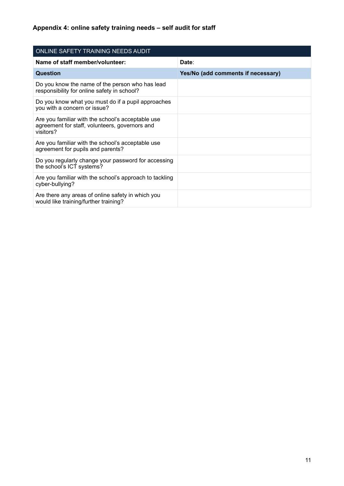| ONLINE SAFETY TRAINING NEEDS AUDIT                                                                               |                                    |  |  |
|------------------------------------------------------------------------------------------------------------------|------------------------------------|--|--|
| Name of staff member/volunteer:                                                                                  | Date:                              |  |  |
| Question                                                                                                         | Yes/No (add comments if necessary) |  |  |
| Do you know the name of the person who has lead<br>responsibility for online safety in school?                   |                                    |  |  |
| Do you know what you must do if a pupil approaches<br>you with a concern or issue?                               |                                    |  |  |
| Are you familiar with the school's acceptable use<br>agreement for staff, volunteers, governors and<br>visitors? |                                    |  |  |
| Are you familiar with the school's acceptable use<br>agreement for pupils and parents?                           |                                    |  |  |
| Do you regularly change your password for accessing<br>the school's ICT systems?                                 |                                    |  |  |
| Are you familiar with the school's approach to tackling<br>cyber-bullying?                                       |                                    |  |  |
| Are there any areas of online safety in which you<br>would like training/further training?                       |                                    |  |  |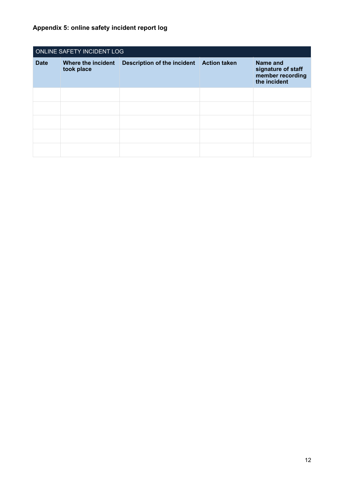| ONLINE SAFETY INCIDENT LOG |            |                                                               |  |                                                                           |  |
|----------------------------|------------|---------------------------------------------------------------|--|---------------------------------------------------------------------------|--|
| <b>Date</b>                | took place | Where the incident  Description of the incident  Action taken |  | <b>Name and</b><br>signature of staff<br>member recording<br>the incident |  |
|                            |            |                                                               |  |                                                                           |  |
|                            |            |                                                               |  |                                                                           |  |
|                            |            |                                                               |  |                                                                           |  |
|                            |            |                                                               |  |                                                                           |  |
|                            |            |                                                               |  |                                                                           |  |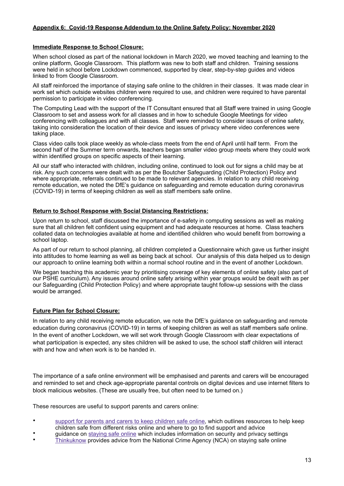#### **Appendix 6: Covid-19 Response Addendum to the Online Safety Policy: November 2020**

#### **Immediate Response to School Closure:**

When school closed as part of the national lockdown in March 2020, we moved teaching and learning to the online platform, Google Classroom. This platform was new to both staff and children. Training sessions were held in school before Lockdown commenced, supported by clear, step-by-step guides and videos linked to from Google Classroom.

All staff reinforced the importance of staying safe online to the children in their classes. It was made clear in work set which outside websites children were required to use, and children were required to have parental permission to participate in video conferencing.

The Computing Lead with the support of the IT Consultant ensured that all Staff were trained in using Google Classroom to set and assess work for all classes and in how to schedule Google Meetings for video conferencing with colleagues and with all classes. Staff were reminded to consider issues of online safety, taking into consideration the location of their device and issues of privacy where video conferences were taking place.

Class video calls took place weekly as whole-class meets from the end of April until half term. From the second half of the Summer term onwards, teachers began smaller video group meets where they could work within identified groups on specific aspects of their learning.

All our staff who interacted with children, including online, continued to look out for signs a child may be at risk. Any such concerns were dealt with as per the Boutcher Safeguarding (Child Protection) Policy and where appropriate, referrals continued to be made to relevant agencies. In relation to any child receiving remote education, we noted the DfE's guidance on safeguarding and remote education during coronavirus (COVID-19) in terms of keeping children as well as staff members safe online.

#### **Return to School Response with Social Distancing Restrictions:**

Upon return to school, staff discussed the importance of e-safety in computing sessions as well as making sure that all children felt confident using equipment and had adequate resources at home. Class teachers collated data on technologies available at home and identified children who would benefit from borrowing a school laptop.

As part of our return to school planning, all children completed a Questionnaire which gave us further insight into attitudes to home learning as well as being back at school. Our analysis of this data helped us to design our approach to online learning both within a normal school routine and in the event of another Lockdown.

We began teaching this academic year by prioritising coverage of key elements of online safety (also part of our PSHE curriculum). Any issues around online safety arising within year groups would be dealt with as per our Safeguarding (Child Protection Policy) and where appropriate taught follow-up sessions with the class would be arranged.

#### **Future Plan for School Closure:**

In relation to any child receiving remote education, we note the DfE's guidance on safeguarding and remote education during coronavirus (COVID-19) in terms of keeping children as well as staff members safe online. In the event of another Lockdown, we will set work through Google Classroom with clear expectations of what participation is expected, any sites children will be asked to use, the school staff children will interact with and how and when work is to be handed in.

The importance of a safe online environment will be emphasised and parents and carers will be encouraged and reminded to set and check age-appropriate parental controls on digital devices and use internet filters to block malicious websites. (These are usually free, but often need to be turned on.)

These resources are useful to support parents and carers online:

- [support for parents and carers to keep children safe online](https://www.gov.uk/government/publications/coronavirus-covid-19-keeping-children-safe-online/coronavirus-covid-19-support-for-parents-and-carers-to-keep-children-safe-online), which outlines resources to help keep children safe from different risks online and where to go to find support and advice
- guidance on [staying safe online](https://www.gov.uk/guidance/covid-19-staying-safe-online) which includes information on security and privacy settings
- [Thinkuknow](https://www.thinkuknow.co.uk/) provides advice from the National Crime Agency (NCA) on staying safe online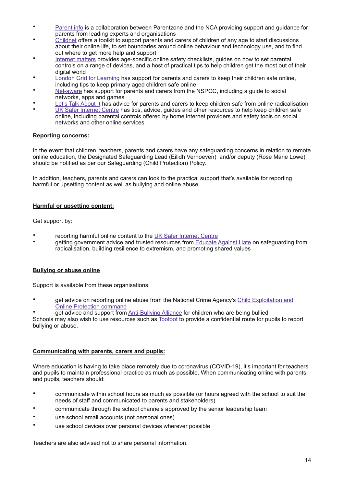- [Parent info](https://parentinfo.org/) is a collaboration between Parentzone and the NCA providing support and guidance for parents from leading experts and organisations
- [Childnet](https://www.childnet.com/parents-and-carers/parent-and-carer-toolkit) offers a toolkit to support parents and carers of children of any age to start discussions about their online life, to set boundaries around online behaviour and technology use, and to find out where to get more help and support
- [Internet matters](https://www.internetmatters.org/?gclid=EAIaIQobChMIktuA5LWK2wIVRYXVCh2afg2aEAAYASAAEgIJ5vD_BwE) provides age-specific online safety checklists, guides on how to set parental controls on a range of devices, and a host of practical tips to help children get the most out of their digital world
- **[London Grid for Learning](https://www.lgfl.net/online-safety/) has support for parents and carers to keep their children safe online,** including tips to keep primary aged children safe online
- [Net-aware](https://www.net-aware.org.uk/) has support for parents and carers from the NSPCC, including a guide to social networks, apps and games
- [Let's Talk About It](https://www.ltai.info/staying-safe-online/) has advice for parents and carers to keep children safe from online radicalisation
- [UK Safer Internet Centre](https://www.saferinternet.org.uk/advice-centre/parents-and-carers) has tips, advice, guides and other resources to help keep children safe online, including parental controls offered by home internet providers and safety tools on social networks and other online services

#### **Reporting concerns:**

In the event that children, teachers, parents and carers have any safeguarding concerns in relation to remote online education, the Designated Safeguarding Lead (Eilidh Verhoeven) and/or deputy (Rose Marie Lowe) should be notified as per our Safeguarding (Child Protection) Policy.

In addition, teachers, parents and carers can look to the practical support that's available for reporting harmful or upsetting content as well as bullying and online abuse.

#### **Harmful or upsetting content:**

Get support by:

- reporting harmful online content to the [UK Safer Internet Centre](https://reportharmfulcontent.com/)
- getting government advice and trusted resources from [Educate Against Hate](https://educateagainsthate.com/) on safeguarding from radicalisation, building resilience to extremism, and promoting shared values

#### **Bullying or abuse online**

Support is available from these organisations:

- get advice on reporting online abuse from the National Crime Agency's Child Exploitation and [Online Protection command](https://www.ceop.police.uk/safety-centre/)
- get advice and support from [Anti-Bullying Alliance](https://www.anti-bullyingalliance.org.uk/tools-information/if-youre-being-bullied) for children who are being bullied

Schools may also wish to use resources such as [Tootoot](https://tootoot.co.uk/) to provide a confidential route for pupils to report bullying or abuse.

#### **Communicating with parents, carers and pupils:**

Where education is having to take place remotely due to coronavirus (COVID-19), it's important for teachers and pupils to maintain professional practice as much as possible. When communicating online with parents and pupils, teachers should:

- communicate within school hours as much as possible (or hours agreed with the school to suit the needs of staff and communicated to parents and stakeholders)
- communicate through the school channels approved by the senior leadership team
- use school email accounts (not personal ones)
- use school devices over personal devices wherever possible

Teachers are also advised not to share personal information.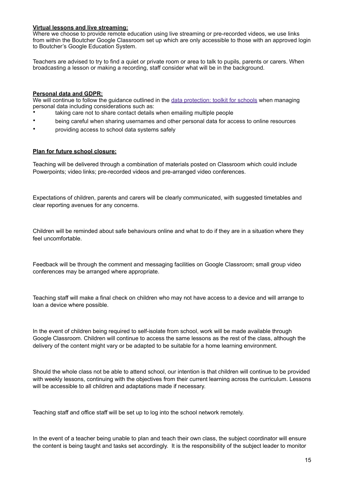#### **Virtual lessons and live streaming:**

Where we choose to provide remote education using live streaming or pre-recorded videos, we use links from within the Boutcher Google Classroom set up which are only accessible to those with an approved login to Boutcher's Google Education System.

Teachers are advised to try to find a quiet or private room or area to talk to pupils, parents or carers. When broadcasting a lesson or making a recording, staff consider what will be in the background.

#### **Personal data and GDPR:**

We will continue to follow the quidance outlined in the [data protection: toolkit for schools](https://www.gov.uk/government/publications/data-protection-toolkit-for-schools) when managing personal data including considerations such as:

- taking care not to share contact details when emailing multiple people
- being careful when sharing usernames and other personal data for access to online resources
- providing access to school data systems safely

#### **Plan for future school closure:**

Teaching will be delivered through a combination of materials posted on Classroom which could include Powerpoints; video links; pre-recorded videos and pre-arranged video conferences.

Expectations of children, parents and carers will be clearly communicated, with suggested timetables and clear reporting avenues for any concerns.

Children will be reminded about safe behaviours online and what to do if they are in a situation where they feel uncomfortable.

Feedback will be through the comment and messaging facilities on Google Classroom; small group video conferences may be arranged where appropriate.

Teaching staff will make a final check on children who may not have access to a device and will arrange to loan a device where possible.

In the event of children being required to self-isolate from school, work will be made available through Google Classroom. Children will continue to access the same lessons as the rest of the class, although the delivery of the content might vary or be adapted to be suitable for a home learning environment.

Should the whole class not be able to attend school, our intention is that children will continue to be provided with weekly lessons, continuing with the objectives from their current learning across the curriculum. Lessons will be accessible to all children and adaptations made if necessary.

Teaching staff and office staff will be set up to log into the school network remotely.

In the event of a teacher being unable to plan and teach their own class, the subject coordinator will ensure the content is being taught and tasks set accordingly. It is the responsibility of the subject leader to monitor